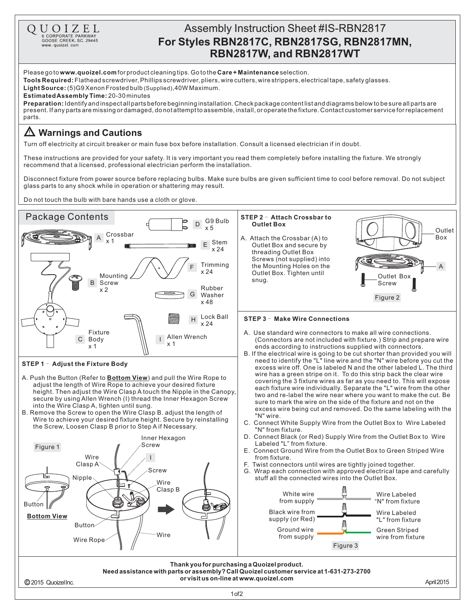

1of2